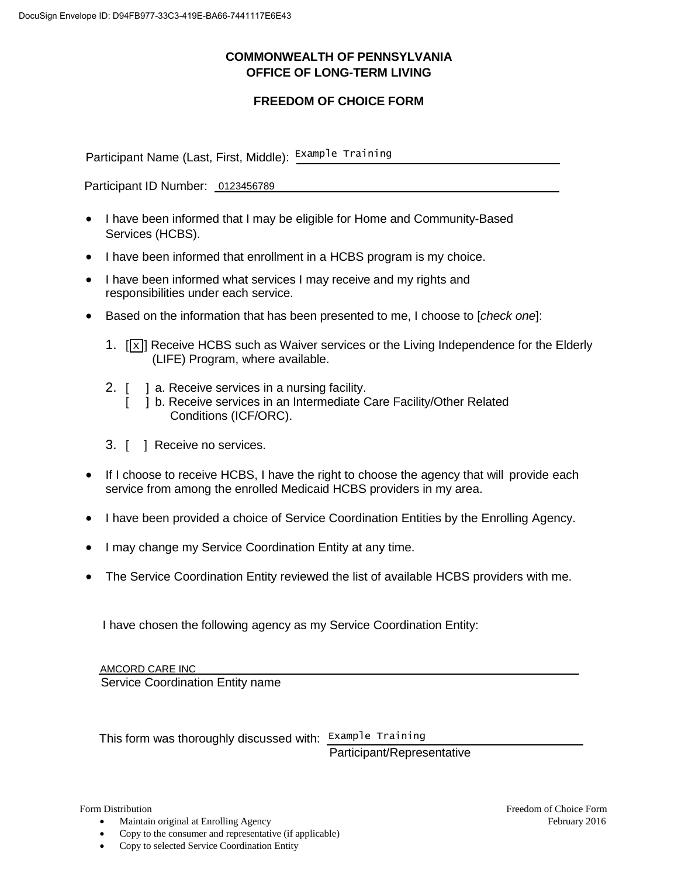## **COMMONWEALTH OF PENNSYLVANIA OFFICE OF LONG-TERM LIVING**

## **FREEDOM OF CHOICE FORM**

Participant Name (Last, First, Middle): Example Training

Participant ID Number: 0123456789

- I have been informed that I may be eligible for Home and Community-Based Services (HCBS).
- I have been informed that enrollment in a HCBS program is my choice.
- I have been informed what services I may receive and my rights and responsibilities under each service.
- Based on the information that has been presented to me, I choose to [*check one*]:
	- 1.  $[\overline{x}]$  Receive HCBS such as Waiver services or the Living Independence for the Elderly (LIFE) Program, where available.
	- 2. [ ] a. Receive services in a nursing facility.
		- [ ] b. Receive services in an Intermediate Care Facility/Other Related Conditions (ICF/ORC).
	- 3. [ ] Receive no services.
- If I choose to receive HCBS, I have the right to choose the agency that will provide each service from among the enrolled Medicaid HCBS providers in my area.
- I have been provided a choice of Service Coordination Entities by the Enrolling Agency.
- I may change my Service Coordination Entity at any time.
- The Service Coordination Entity reviewed the list of available HCBS providers with me.

I have chosen the following agency as my Service Coordination Entity:

 Service Coordination Entity name AMCORD CARE INC

This form was thoroughly discussed with: Example Training Participant/Representative

Form Distribution

 $\bullet$ Maintain original at Enrolling Agency

 $\bullet$ Copy to the consumer and representative (if applicable)

 $\bullet$ Copy to selected Service Coordination Entity